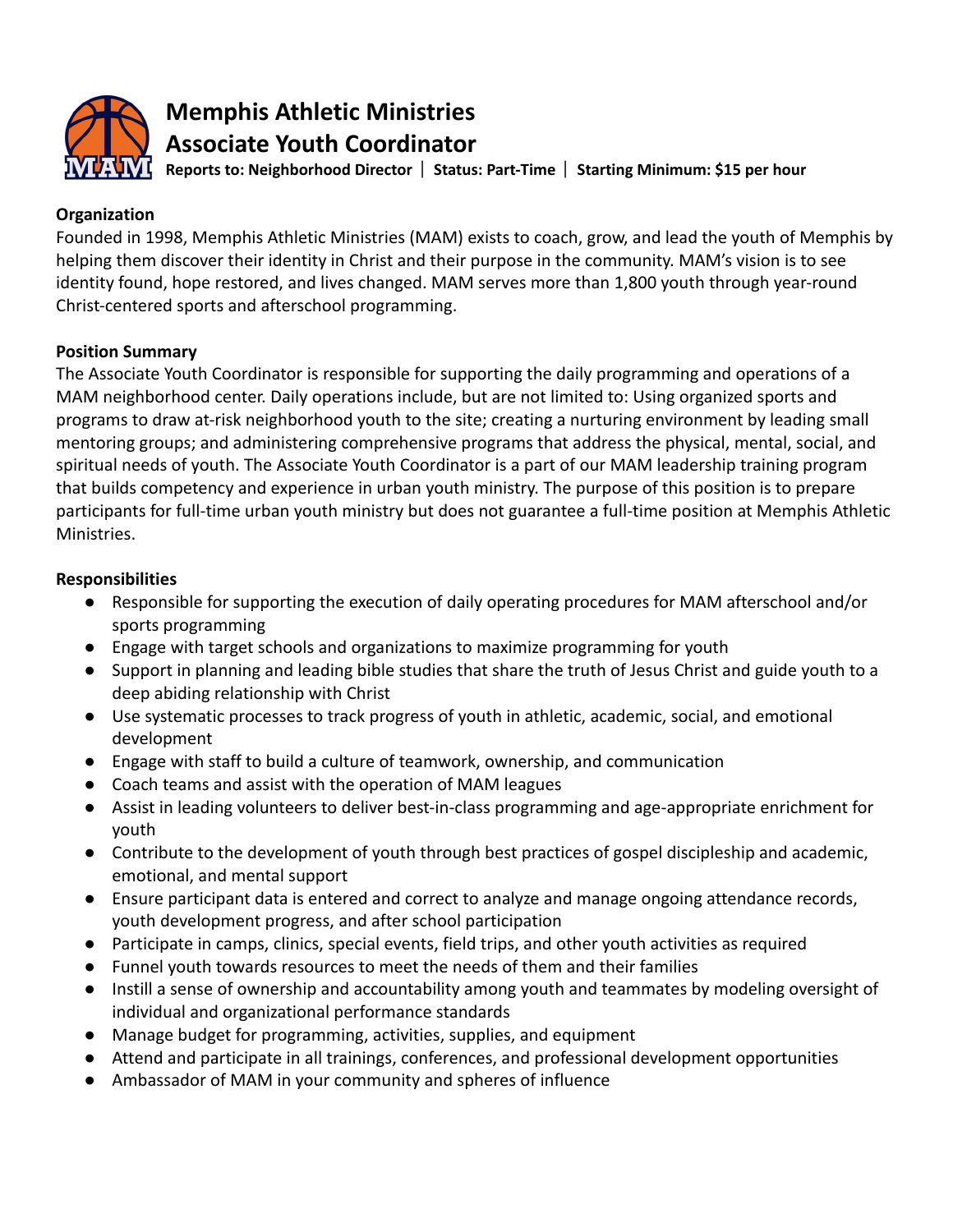

# **Memphis Athletic Ministries Associate Youth Coordinator**

**Reports to: Neighborhood Director** ⎸ **Status: Part-Time** ⎸ **Starting Minimum: \$15 per hour**

## **Organization**

Founded in 1998, Memphis Athletic Ministries (MAM) exists to coach, grow, and lead the youth of Memphis by helping them discover their identity in Christ and their purpose in the community. MAM's vision is to see identity found, hope restored, and lives changed. MAM serves more than 1,800 youth through year-round Christ-centered sports and afterschool programming.

## **Position Summary**

The Associate Youth Coordinator is responsible for supporting the daily programming and operations of a MAM neighborhood center. Daily operations include, but are not limited to: Using organized sports and programs to draw at-risk neighborhood youth to the site; creating a nurturing environment by leading small mentoring groups; and administering comprehensive programs that address the physical, mental, social, and spiritual needs of youth. The Associate Youth Coordinator is a part of our MAM leadership training program that builds competency and experience in urban youth ministry. The purpose of this position is to prepare participants for full-time urban youth ministry but does not guarantee a full-time position at Memphis Athletic Ministries.

## **Responsibilities**

- Responsible for supporting the execution of daily operating procedures for MAM afterschool and/or sports programming
- Engage with target schools and organizations to maximize programming for youth
- Support in planning and leading bible studies that share the truth of Jesus Christ and guide youth to a deep abiding relationship with Christ
- Use systematic processes to track progress of youth in athletic, academic, social, and emotional development
- Engage with staff to build a culture of teamwork, ownership, and communication
- Coach teams and assist with the operation of MAM leagues
- Assist in leading volunteers to deliver best-in-class programming and age-appropriate enrichment for youth
- Contribute to the development of youth through best practices of gospel discipleship and academic, emotional, and mental support
- Ensure participant data is entered and correct to analyze and manage ongoing attendance records, youth development progress, and after school participation
- Participate in camps, clinics, special events, field trips, and other youth activities as required
- Funnel youth towards resources to meet the needs of them and their families
- Instill a sense of ownership and accountability among youth and teammates by modeling oversight of individual and organizational performance standards
- Manage budget for programming, activities, supplies, and equipment
- Attend and participate in all trainings, conferences, and professional development opportunities
- Ambassador of MAM in your community and spheres of influence